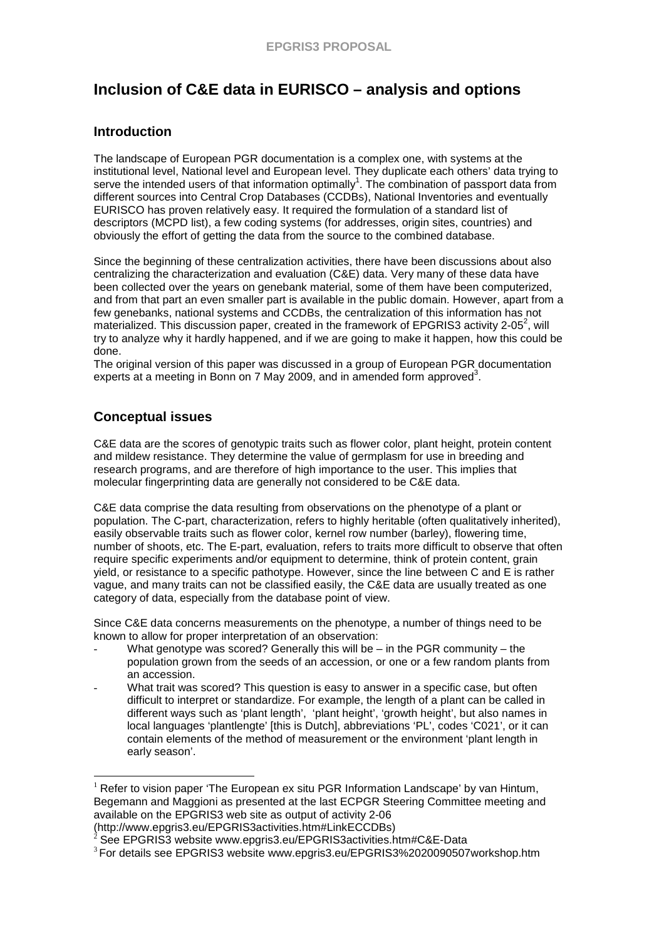# **Inclusion of C&E data in EURISCO – analysis and options**

## **Introduction**

The landscape of European PGR documentation is a complex one, with systems at the institutional level, National level and European level. They duplicate each others' data trying to serve the intended users of that information optimally<sup>1</sup>. The combination of passport data from different sources into Central Crop Databases (CCDBs), National Inventories and eventually EURISCO has proven relatively easy. It required the formulation of a standard list of descriptors (MCPD list), a few coding systems (for addresses, origin sites, countries) and obviously the effort of getting the data from the source to the combined database.

Since the beginning of these centralization activities, there have been discussions about also centralizing the characterization and evaluation (C&E) data. Very many of these data have been collected over the years on genebank material, some of them have been computerized, and from that part an even smaller part is available in the public domain. However, apart from a few genebanks, national systems and CCDBs, the centralization of this information has not materialized. This discussion paper, created in the framework of EPGRIS3 activity 2-05<sup>2</sup>, will try to analyze why it hardly happened, and if we are going to make it happen, how this could be done.

The original version of this paper was discussed in a group of European PGR documentation experts at a meeting in Bonn on 7 May 2009, and in amended form approved<sup>3</sup>.

## **Conceptual issues**

 $\overline{a}$ 

C&E data are the scores of genotypic traits such as flower color, plant height, protein content and mildew resistance. They determine the value of germplasm for use in breeding and research programs, and are therefore of high importance to the user. This implies that molecular fingerprinting data are generally not considered to be C&E data.

C&E data comprise the data resulting from observations on the phenotype of a plant or population. The C-part, characterization, refers to highly heritable (often qualitatively inherited), easily observable traits such as flower color, kernel row number (barley), flowering time, number of shoots, etc. The E-part, evaluation, refers to traits more difficult to observe that often require specific experiments and/or equipment to determine, think of protein content, grain yield, or resistance to a specific pathotype. However, since the line between C and E is rather vague, and many traits can not be classified easily, the C&E data are usually treated as one category of data, especially from the database point of view.

Since C&E data concerns measurements on the phenotype, a number of things need to be known to allow for proper interpretation of an observation:

- What genotype was scored? Generally this will be  $-$  in the PGR community  $-$  the population grown from the seeds of an accession, or one or a few random plants from an accession.
- What trait was scored? This question is easy to answer in a specific case, but often difficult to interpret or standardize. For example, the length of a plant can be called in different ways such as 'plant length', 'plant height', 'growth height', but also names in local languages 'plantlengte' [this is Dutch], abbreviations 'PL', codes 'C021', or it can contain elements of the method of measurement or the environment 'plant length in early season'.

 $1$  Refer to vision paper 'The European ex situ PGR Information Landscape' by van Hintum, Begemann and Maggioni as presented at the last ECPGR Steering Committee meeting and available on the EPGRIS3 web site as output of activity 2-06 (http://www.epgris3.eu/EPGRIS3activities.htm#LinkECCDBs)

<sup>2</sup> See EPGRIS3 website www.epgris3.eu/EPGRIS3activities.htm#C&E-Data

<sup>3</sup>For details see EPGRIS3 website www.epgris3.eu/EPGRIS3%2020090507workshop.htm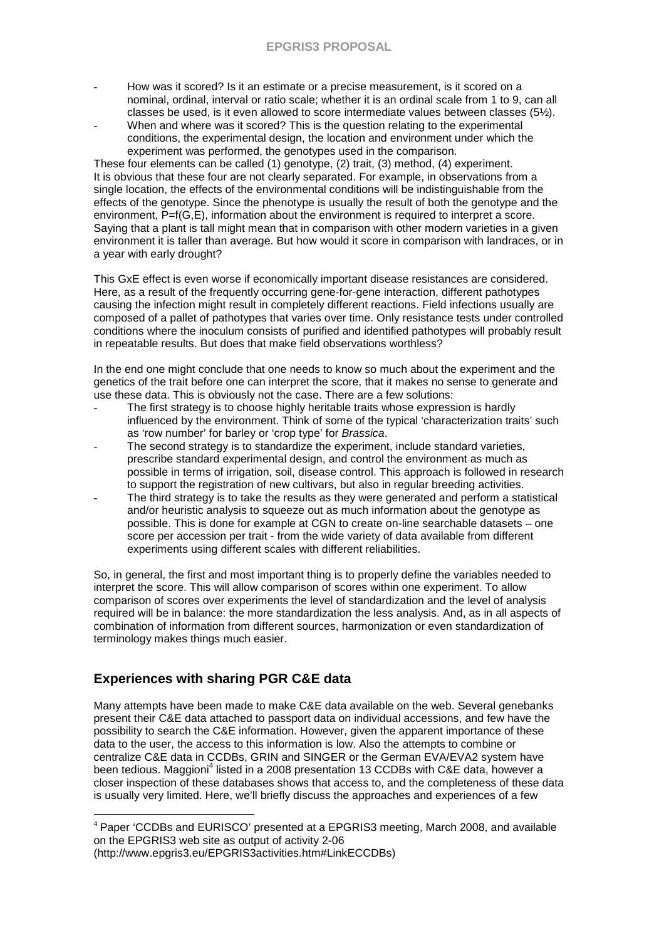- How was it scored? Is it an estimate or a precise measurement, is it scored on a nominal, ordinal, interval or ratio scale; whether it is an ordinal scale from 1 to 9, can all classes be used, is it even allowed to score intermediate values between classes (5½).
- When and where was it scored? This is the question relating to the experimental conditions, the experimental design, the location and environment under which the experiment was performed, the genotypes used in the comparison.

These four elements can be called (1) genotype, (2) trait, (3) method, (4) experiment. It is obvious that these four are not clearly separated. For example, in observations from a single location, the effects of the environmental conditions will be indistinguishable from the effects of the genotype. Since the phenotype is usually the result of both the genotype and the environment,  $\overline{P}$ =f(G,E), information about the environment is required to interpret a score. Saying that a plant is tall might mean that in comparison with other modern varieties in a given environment it is taller than average. But how would it score in comparison with landraces, or in a year with early drought?

This GxE effect is even worse if economically important disease resistances are considered. Here, as a result of the frequently occurring gene-for-gene interaction, different pathotypes causing the infection might result in completely different reactions. Field infections usually are composed of a pallet of pathotypes that varies over time. Only resistance tests under controlled conditions where the inoculum consists of purified and identified pathotypes will probably result in repeatable results. But does that make field observations worthless?

In the end one might conclude that one needs to know so much about the experiment and the genetics of the trait before one can interpret the score, that it makes no sense to generate and use these data. This is obviously not the case. There are a few solutions:

- The first strategy is to choose highly heritable traits whose expression is hardly influenced by the environment. Think of some of the typical 'characterization traits' such as 'row number' for barley or 'crop type' for Brassica.
- The second strategy is to standardize the experiment, include standard varieties, prescribe standard experimental design, and control the environment as much as possible in terms of irrigation, soil, disease control. This approach is followed in research to support the registration of new cultivars, but also in regular breeding activities.
- The third strategy is to take the results as they were generated and perform a statistical and/or heuristic analysis to squeeze out as much information about the genotype as possible. This is done for example at CGN to create on-line searchable datasets – one score per accession per trait - from the wide variety of data available from different experiments using different scales with different reliabilities.

So, in general, the first and most important thing is to properly define the variables needed to interpret the score. This will allow comparison of scores within one experiment. To allow comparison of scores over experiments the level of standardization and the level of analysis required will be in balance: the more standardization the less analysis. And, as in all aspects of combination of information from different sources, harmonization or even standardization of terminology makes things much easier.

## **Experiences with sharing PGR C&E data**

Many attempts have been made to make C&E data available on the web. Several genebanks present their C&E data attached to passport data on individual accessions, and few have the possibility to search the C&E information. However, given the apparent importance of these data to the user, the access to this information is low. Also the attempts to combine or centralize C&E data in CCDBs, GRIN and SINGER or the German EVA/EVA2 system have been tedious. Maggioni<sup>4</sup> listed in a 2008 presentation 13 CCDBs with C&E data, however a closer inspection of these databases shows that access to, and the completeness of these data is usually very limited. Here, we'll briefly discuss the approaches and experiences of a few

(http://www.epgris3.eu/EPGRIS3activities.htm#LinkECCDBs)

 $\overline{a}$ <sup>4</sup> Paper 'CCDBs and EURISCO' presented at a EPGRIS3 meeting, March 2008, and available on the EPGRIS3 web site as output of activity 2-06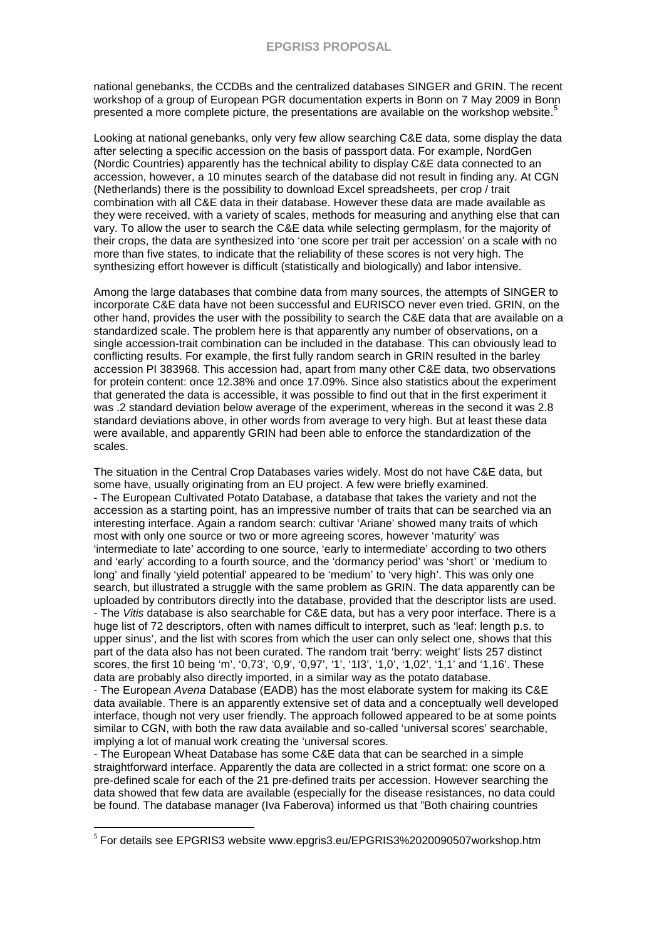national genebanks, the CCDBs and the centralized databases SINGER and GRIN. The recent workshop of a group of European PGR documentation experts in Bonn on 7 May 2009 in Bonn presented a more complete picture, the presentations are available on the workshop website.<sup>5</sup>

Looking at national genebanks, only very few allow searching C&E data, some display the data after selecting a specific accession on the basis of passport data. For example, NordGen (Nordic Countries) apparently has the technical ability to display C&E data connected to an accession, however, a 10 minutes search of the database did not result in finding any. At CGN (Netherlands) there is the possibility to download Excel spreadsheets, per crop / trait combination with all C&E data in their database. However these data are made available as they were received, with a variety of scales, methods for measuring and anything else that can vary. To allow the user to search the C&E data while selecting germplasm, for the majority of their crops, the data are synthesized into 'one score per trait per accession' on a scale with no more than five states, to indicate that the reliability of these scores is not very high. The synthesizing effort however is difficult (statistically and biologically) and labor intensive.

Among the large databases that combine data from many sources, the attempts of SINGER to incorporate C&E data have not been successful and EURISCO never even tried. GRIN, on the other hand, provides the user with the possibility to search the C&E data that are available on a standardized scale. The problem here is that apparently any number of observations, on a single accession-trait combination can be included in the database. This can obviously lead to conflicting results. For example, the first fully random search in GRIN resulted in the barley accession PI 383968. This accession had, apart from many other C&E data, two observations for protein content: once 12.38% and once 17.09%. Since also statistics about the experiment that generated the data is accessible, it was possible to find out that in the first experiment it was .2 standard deviation below average of the experiment, whereas in the second it was 2.8 standard deviations above, in other words from average to very high. But at least these data were available, and apparently GRIN had been able to enforce the standardization of the scales.

The situation in the Central Crop Databases varies widely. Most do not have C&E data, but some have, usually originating from an EU project. A few were briefly examined. - The European Cultivated Potato Database, a database that takes the variety and not the accession as a starting point, has an impressive number of traits that can be searched via an interesting interface. Again a random search: cultivar 'Ariane' showed many traits of which most with only one source or two or more agreeing scores, however 'maturity' was 'intermediate to late' according to one source, 'early to intermediate' according to two others and 'early' according to a fourth source, and the 'dormancy period' was 'short' or 'medium to long' and finally 'yield potential' appeared to be 'medium' to 'very high'. This was only one search, but illustrated a struggle with the same problem as GRIN. The data apparently can be uploaded by contributors directly into the database, provided that the descriptor lists are used. - The Vitis database is also searchable for C&E data, but has a very poor interface. There is a huge list of 72 descriptors, often with names difficult to interpret, such as 'leaf: length p.s. to upper sinus', and the list with scores from which the user can only select one, shows that this part of the data also has not been curated. The random trait 'berry: weight' lists 257 distinct scores, the first 10 being 'm', '0,73', '0,9', '0,97', '1', '1I3', '1,0', '1,02', '1,1' and '1,16'. These data are probably also directly imported, in a similar way as the potato database.

- The European Avena Database (EADB) has the most elaborate system for making its C&E data available. There is an apparently extensive set of data and a conceptually well developed interface, though not very user friendly. The approach followed appeared to be at some points similar to CGN, with both the raw data available and so-called 'universal scores' searchable, implying a lot of manual work creating the 'universal scores.

- The European Wheat Database has some C&E data that can be searched in a simple straightforward interface. Apparently the data are collected in a strict format: one score on a pre-defined scale for each of the 21 pre-defined traits per accession. However searching the data showed that few data are available (especially for the disease resistances, no data could be found. The database manager (Iva Faberova) informed us that "Both chairing countries

 $\overline{a}$ 

 $<sup>5</sup>$  For details see EPGRIS3 website www.epgris3.eu/EPGRIS3%2020090507workshop.htm</sup>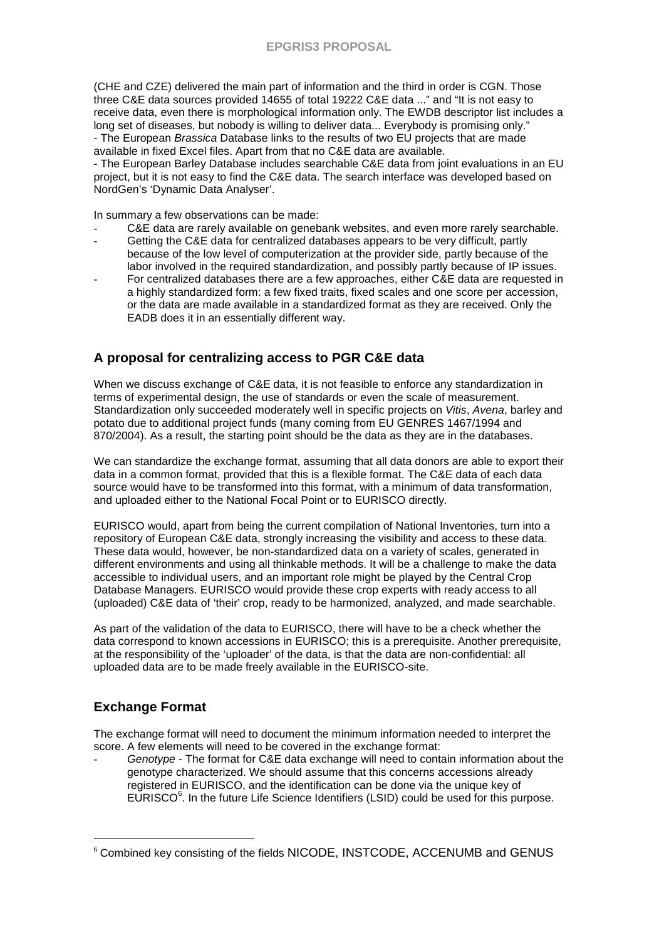(CHE and CZE) delivered the main part of information and the third in order is CGN. Those three C&E data sources provided 14655 of total 19222 C&E data ..." and "It is not easy to receive data, even there is morphological information only. The EWDB descriptor list includes a long set of diseases, but nobody is willing to deliver data... Everybody is promising only." - The European Brassica Database links to the results of two EU projects that are made available in fixed Excel files. Apart from that no C&E data are available.

- The European Barley Database includes searchable C&E data from joint evaluations in an EU project, but it is not easy to find the C&E data. The search interface was developed based on NordGen's 'Dynamic Data Analyser'.

In summary a few observations can be made:

- C&E data are rarely available on genebank websites, and even more rarely searchable.
- Getting the C&E data for centralized databases appears to be very difficult, partly because of the low level of computerization at the provider side, partly because of the labor involved in the required standardization, and possibly partly because of IP issues.
- For centralized databases there are a few approaches, either C&E data are requested in a highly standardized form: a few fixed traits, fixed scales and one score per accession, or the data are made available in a standardized format as they are received. Only the EADB does it in an essentially different way.

## **A proposal for centralizing access to PGR C&E data**

When we discuss exchange of C&E data, it is not feasible to enforce any standardization in terms of experimental design, the use of standards or even the scale of measurement. Standardization only succeeded moderately well in specific projects on *Vitis, Avena*, barley and potato due to additional project funds (many coming from EU GENRES 1467/1994 and 870/2004). As a result, the starting point should be the data as they are in the databases.

We can standardize the exchange format, assuming that all data donors are able to export their data in a common format, provided that this is a flexible format. The C&E data of each data source would have to be transformed into this format, with a minimum of data transformation, and uploaded either to the National Focal Point or to EURISCO directly.

EURISCO would, apart from being the current compilation of National Inventories, turn into a repository of European C&E data, strongly increasing the visibility and access to these data. These data would, however, be non-standardized data on a variety of scales, generated in different environments and using all thinkable methods. It will be a challenge to make the data accessible to individual users, and an important role might be played by the Central Crop Database Managers. EURISCO would provide these crop experts with ready access to all (uploaded) C&E data of 'their' crop, ready to be harmonized, analyzed, and made searchable.

As part of the validation of the data to EURISCO, there will have to be a check whether the data correspond to known accessions in EURISCO; this is a prerequisite. Another prerequisite, at the responsibility of the 'uploader' of the data, is that the data are non-confidential: all uploaded data are to be made freely available in the EURISCO-site.

### **Exchange Format**

 $\overline{a}$ 

The exchange format will need to document the minimum information needed to interpret the score. A few elements will need to be covered in the exchange format:

Genotype - The format for C&E data exchange will need to contain information about the genotype characterized. We should assume that this concerns accessions already registered in EURISCO, and the identification can be done via the unique key of EURISCO<sup>6</sup>. In the future Life Science Identifiers (LSID) could be used for this purpose.

<sup>6</sup> Combined key consisting of the fields NICODE, INSTCODE, ACCENUMB and GENUS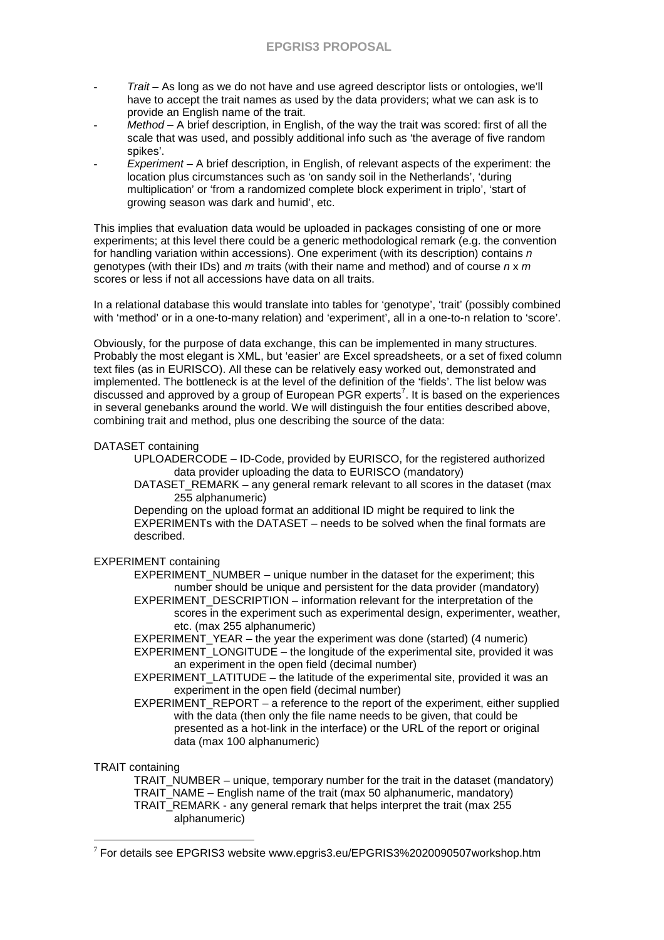- Trait As long as we do not have and use agreed descriptor lists or ontologies, we'll have to accept the trait names as used by the data providers; what we can ask is to provide an English name of the trait.
- $Method A$  brief description, in English, of the way the trait was scored: first of all the scale that was used, and possibly additional info such as 'the average of five random spikes'.
- $Experiment A brief description, in English, of relevant aspects of the experiment: the$ location plus circumstances such as 'on sandy soil in the Netherlands', 'during multiplication' or 'from a randomized complete block experiment in triplo', 'start of growing season was dark and humid', etc.

This implies that evaluation data would be uploaded in packages consisting of one or more experiments; at this level there could be a generic methodological remark (e.g. the convention for handling variation within accessions). One experiment (with its description) contains  $n$ genotypes (with their IDs) and m traits (with their name and method) and of course  $n \times m$ scores or less if not all accessions have data on all traits.

In a relational database this would translate into tables for 'genotype', 'trait' (possibly combined with 'method' or in a one-to-many relation) and 'experiment', all in a one-to-n relation to 'score'.

Obviously, for the purpose of data exchange, this can be implemented in many structures. Probably the most elegant is XML, but 'easier' are Excel spreadsheets, or a set of fixed column text files (as in EURISCO). All these can be relatively easy worked out, demonstrated and implemented. The bottleneck is at the level of the definition of the 'fields'. The list below was discussed and approved by a group of European PGR experts<sup>7</sup>. It is based on the experiences in several genebanks around the world. We will distinguish the four entities described above, combining trait and method, plus one describing the source of the data:

#### DATASET containing

UPLOADERCODE – ID-Code, provided by EURISCO, for the registered authorized data provider uploading the data to EURISCO (mandatory)

DATASET\_REMARK – any general remark relevant to all scores in the dataset (max 255 alphanumeric)

 Depending on the upload format an additional ID might be required to link the EXPERIMENTs with the DATASET – needs to be solved when the final formats are described.

#### EXPERIMENT containing

EXPERIMENT\_NUMBER – unique number in the dataset for the experiment; this number should be unique and persistent for the data provider (mandatory) EXPERIMENT\_DESCRIPTION – information relevant for the interpretation of the scores in the experiment such as experimental design, experimenter, weather,

etc. (max 255 alphanumeric)

EXPERIMENT\_YEAR – the year the experiment was done (started) (4 numeric) EXPERIMENT\_LONGITUDE – the longitude of the experimental site, provided it was an experiment in the open field (decimal number)

EXPERIMENT\_LATITUDE – the latitude of the experimental site, provided it was an experiment in the open field (decimal number)

EXPERIMENT\_REPORT – a reference to the report of the experiment, either supplied with the data (then only the file name needs to be given, that could be presented as a hot-link in the interface) or the URL of the report or original data (max 100 alphanumeric)

#### TRAIT containing

 $\overline{a}$ 

TRAIT NUMBER – unique, temporary number for the trait in the dataset (mandatory) TRAIT\_NAME – English name of the trait (max 50 alphanumeric, mandatory) TRAIT\_REMARK - any general remark that helps interpret the trait (max 255) alphanumeric)

 $7$  For details see EPGRIS3 website www.epgris3.eu/EPGRIS3%2020090507workshop.htm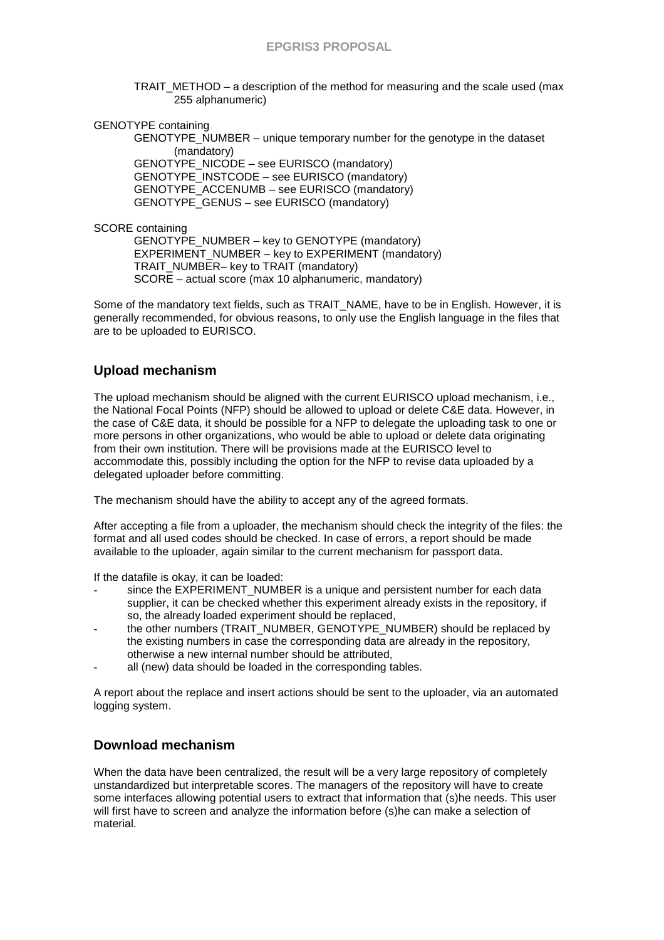TRAIT\_METHOD – a description of the method for measuring and the scale used (max 255 alphanumeric)

GENOTYPE containing

GENOTYPE\_NUMBER – unique temporary number for the genotype in the dataset (mandatory) GENOTYPE\_NICODE – see EURISCO (mandatory) GENOTYPE\_INSTCODE – see EURISCO (mandatory)

GENOTYPE\_ACCENUMB – see EURISCO (mandatory)

GENOTYPE\_GENUS – see EURISCO (mandatory)

SCORE containing

GENOTYPE\_NUMBER – key to GENOTYPE (mandatory) EXPERIMENT\_NUMBER – key to EXPERIMENT (mandatory) TRAIT\_NUMBER– key to TRAIT (mandatory) SCORE – actual score (max 10 alphanumeric, mandatory)

Some of the mandatory text fields, such as TRAIT\_NAME, have to be in English. However, it is generally recommended, for obvious reasons, to only use the English language in the files that are to be uploaded to EURISCO.

## **Upload mechanism**

The upload mechanism should be aligned with the current EURISCO upload mechanism, i.e., the National Focal Points (NFP) should be allowed to upload or delete C&E data. However, in the case of C&E data, it should be possible for a NFP to delegate the uploading task to one or more persons in other organizations, who would be able to upload or delete data originating from their own institution. There will be provisions made at the EURISCO level to accommodate this, possibly including the option for the NFP to revise data uploaded by a delegated uploader before committing.

The mechanism should have the ability to accept any of the agreed formats.

After accepting a file from a uploader, the mechanism should check the integrity of the files: the format and all used codes should be checked. In case of errors, a report should be made available to the uploader, again similar to the current mechanism for passport data.

If the datafile is okay, it can be loaded:

- since the EXPERIMENT\_NUMBER is a unique and persistent number for each data supplier, it can be checked whether this experiment already exists in the repository, if so, the already loaded experiment should be replaced,
- the other numbers (TRAIT\_NUMBER, GENOTYPE\_NUMBER) should be replaced by the existing numbers in case the corresponding data are already in the repository, otherwise a new internal number should be attributed,
- all (new) data should be loaded in the corresponding tables.

A report about the replace and insert actions should be sent to the uploader, via an automated logging system.

## **Download mechanism**

When the data have been centralized, the result will be a very large repository of completely unstandardized but interpretable scores. The managers of the repository will have to create some interfaces allowing potential users to extract that information that (s)he needs. This user will first have to screen and analyze the information before (s)he can make a selection of material.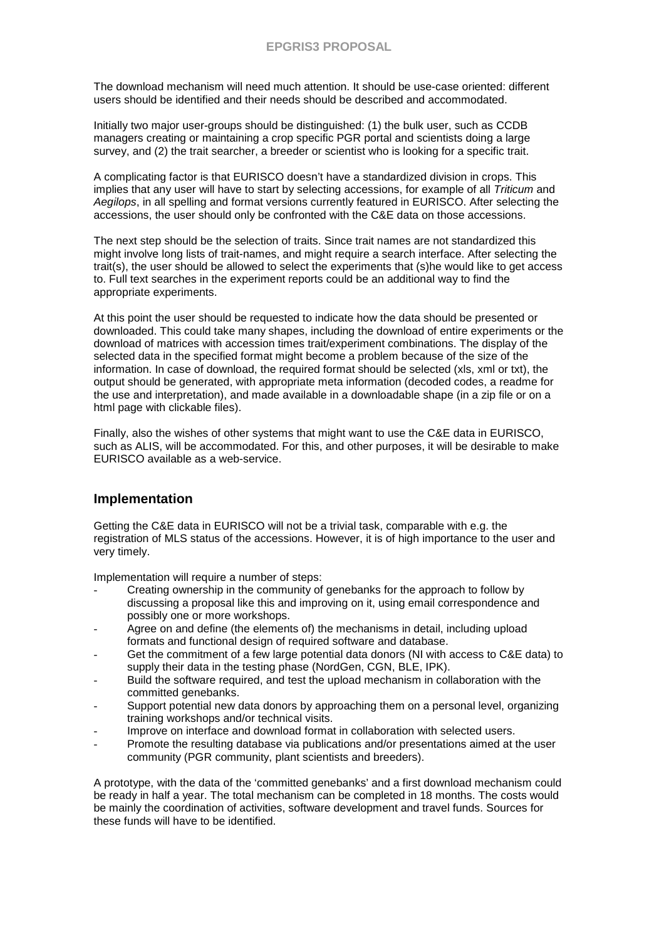The download mechanism will need much attention. It should be use-case oriented: different users should be identified and their needs should be described and accommodated.

Initially two major user-groups should be distinguished: (1) the bulk user, such as CCDB managers creating or maintaining a crop specific PGR portal and scientists doing a large survey, and (2) the trait searcher, a breeder or scientist who is looking for a specific trait.

A complicating factor is that EURISCO doesn't have a standardized division in crops. This implies that any user will have to start by selecting accessions, for example of all Triticum and Aegilops, in all spelling and format versions currently featured in EURISCO. After selecting the accessions, the user should only be confronted with the C&E data on those accessions.

The next step should be the selection of traits. Since trait names are not standardized this might involve long lists of trait-names, and might require a search interface. After selecting the trait(s), the user should be allowed to select the experiments that (s)he would like to get access to. Full text searches in the experiment reports could be an additional way to find the appropriate experiments.

At this point the user should be requested to indicate how the data should be presented or downloaded. This could take many shapes, including the download of entire experiments or the download of matrices with accession times trait/experiment combinations. The display of the selected data in the specified format might become a problem because of the size of the information. In case of download, the required format should be selected (xls, xml or txt), the output should be generated, with appropriate meta information (decoded codes, a readme for the use and interpretation), and made available in a downloadable shape (in a zip file or on a html page with clickable files).

Finally, also the wishes of other systems that might want to use the C&E data in EURISCO, such as ALIS, will be accommodated. For this, and other purposes, it will be desirable to make EURISCO available as a web-service.

### **Implementation**

Getting the C&E data in EURISCO will not be a trivial task, comparable with e.g. the registration of MLS status of the accessions. However, it is of high importance to the user and very timely.

Implementation will require a number of steps:

- Creating ownership in the community of genebanks for the approach to follow by discussing a proposal like this and improving on it, using email correspondence and possibly one or more workshops.
- Agree on and define (the elements of) the mechanisms in detail, including upload formats and functional design of required software and database.
- Get the commitment of a few large potential data donors (NI with access to C&E data) to supply their data in the testing phase (NordGen, CGN, BLE, IPK).
- Build the software required, and test the upload mechanism in collaboration with the committed genebanks.
- Support potential new data donors by approaching them on a personal level, organizing training workshops and/or technical visits.
- Improve on interface and download format in collaboration with selected users.
- Promote the resulting database via publications and/or presentations aimed at the user community (PGR community, plant scientists and breeders).

A prototype, with the data of the 'committed genebanks' and a first download mechanism could be ready in half a year. The total mechanism can be completed in 18 months. The costs would be mainly the coordination of activities, software development and travel funds. Sources for these funds will have to be identified.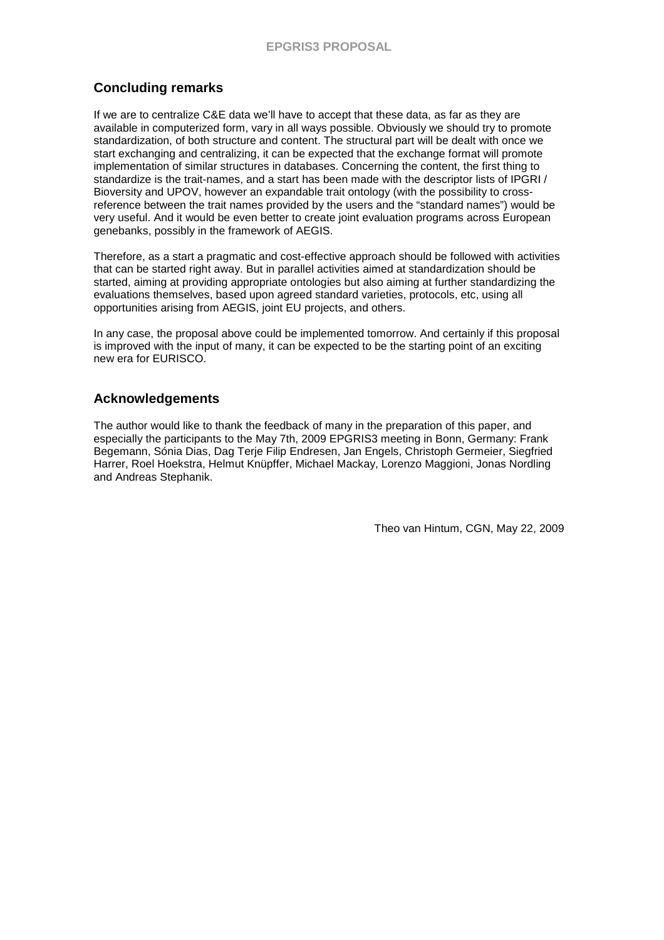## **Concluding remarks**

If we are to centralize C&E data we'll have to accept that these data, as far as they are available in computerized form, vary in all ways possible. Obviously we should try to promote standardization, of both structure and content. The structural part will be dealt with once we start exchanging and centralizing, it can be expected that the exchange format will promote implementation of similar structures in databases. Concerning the content, the first thing to standardize is the trait-names, and a start has been made with the descriptor lists of IPGRI / Bioversity and UPOV, however an expandable trait ontology (with the possibility to crossreference between the trait names provided by the users and the "standard names") would be very useful. And it would be even better to create joint evaluation programs across European genebanks, possibly in the framework of AEGIS.

Therefore, as a start a pragmatic and cost-effective approach should be followed with activities that can be started right away. But in parallel activities aimed at standardization should be started, aiming at providing appropriate ontologies but also aiming at further standardizing the evaluations themselves, based upon agreed standard varieties, protocols, etc, using all opportunities arising from AEGIS, joint EU projects, and others.

In any case, the proposal above could be implemented tomorrow. And certainly if this proposal is improved with the input of many, it can be expected to be the starting point of an exciting new era for EURISCO.

## **Acknowledgements**

The author would like to thank the feedback of many in the preparation of this paper, and especially the participants to the May 7th, 2009 EPGRIS3 meeting in Bonn, Germany: Frank Begemann, Sónia Dias, Dag Terje Filip Endresen, Jan Engels, Christoph Germeier, Siegfried Harrer, Roel Hoekstra, Helmut Knüpffer, Michael Mackay, Lorenzo Maggioni, Jonas Nordling and Andreas Stephanik.

Theo van Hintum, CGN, May 22, 2009